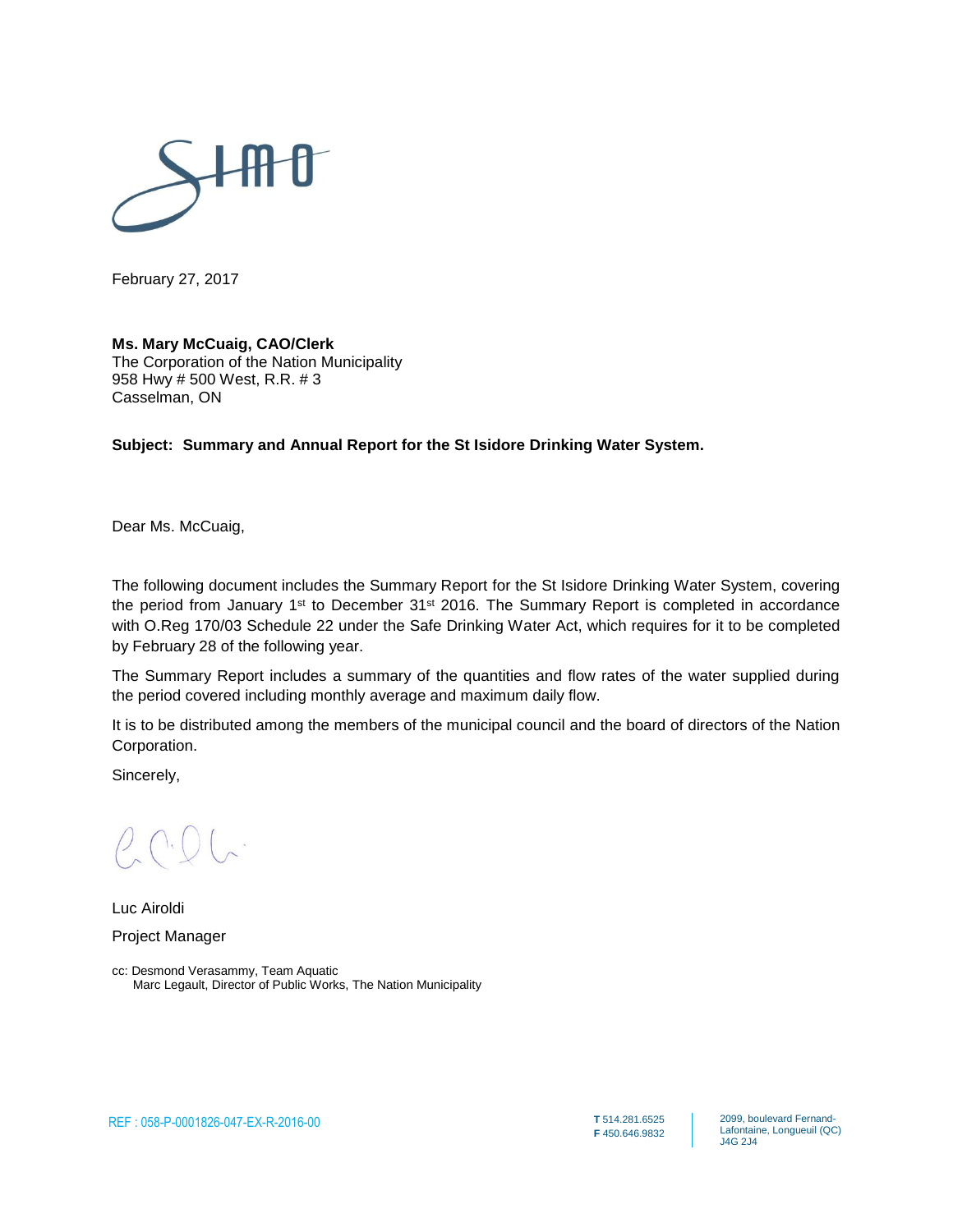

February 27, 2017

#### **Ms. Mary McCuaig, CAO/Clerk**

The Corporation of the Nation Municipality 958 Hwy # 500 West, R.R. # 3 Casselman, ON

#### **Subject: Summary and Annual Report for the St Isidore Drinking Water System.**

Dear Ms. McCuaig,

The following document includes the Summary Report for the St Isidore Drinking Water System, covering the period from January 1<sup>st</sup> to December 31<sup>st</sup> 2016. The Summary Report is completed in accordance with O.Reg 170/03 Schedule 22 under the Safe Drinking Water Act, which requires for it to be completed by February 28 of the following year.

The Summary Report includes a summary of the quantities and flow rates of the water supplied during the period covered including monthly average and maximum daily flow.

It is to be distributed among the members of the municipal council and the board of directors of the Nation Corporation.

Sincerely,

Luc Airoldi Project Manager

cc: Desmond Verasammy, Team Aquatic Marc Legault, Director of Public Works, The Nation Municipality

2099, boulevard Fernand-Lafontaine, Longueuil (QC) J4G 2J4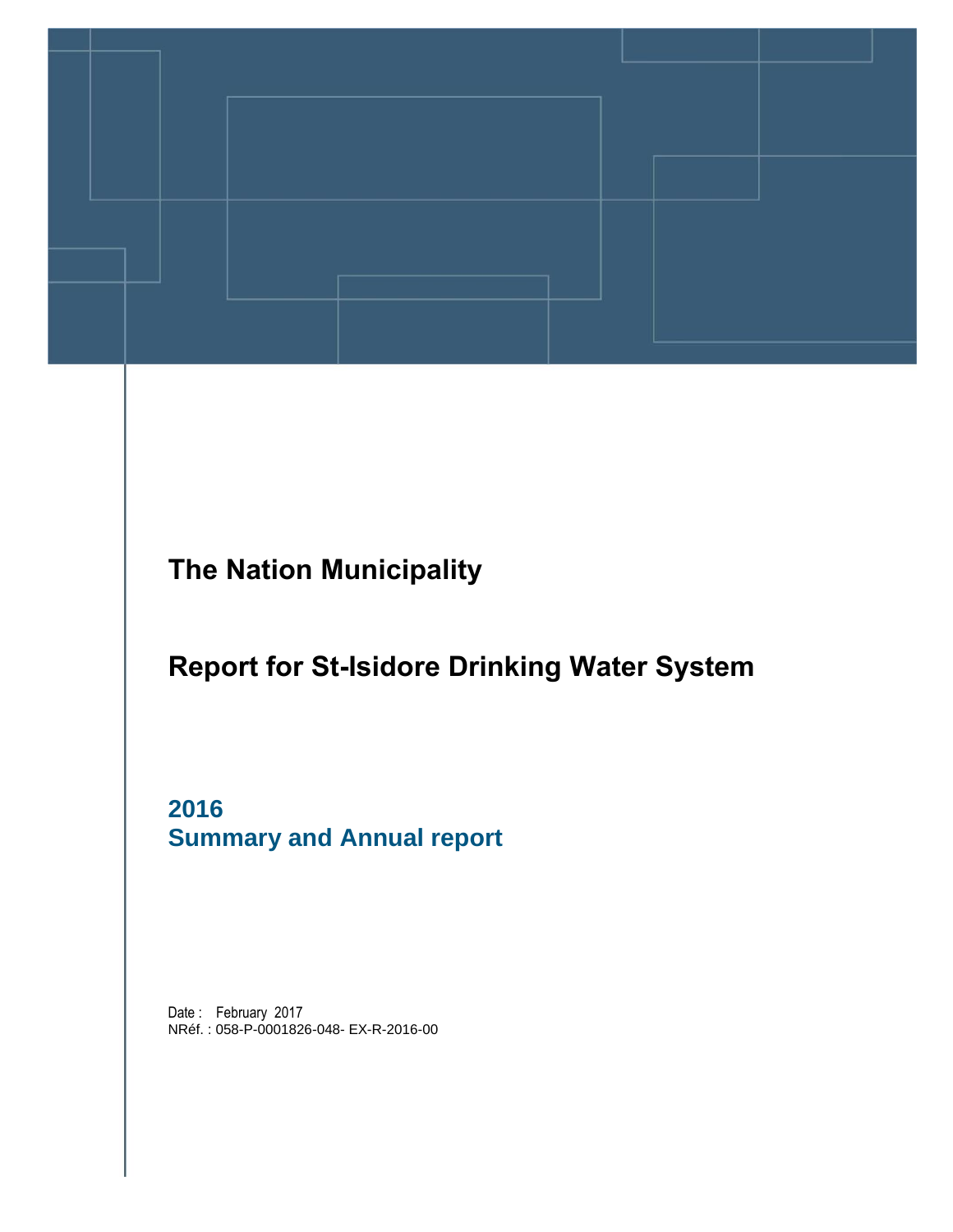

**The Nation Municipality**

### **Report for St-Isidore Drinking Water System**

**2016 Summary and Annual report** 

Date: February 2017 NRéf. : 058-P-0001826-048- EX-R-2016-00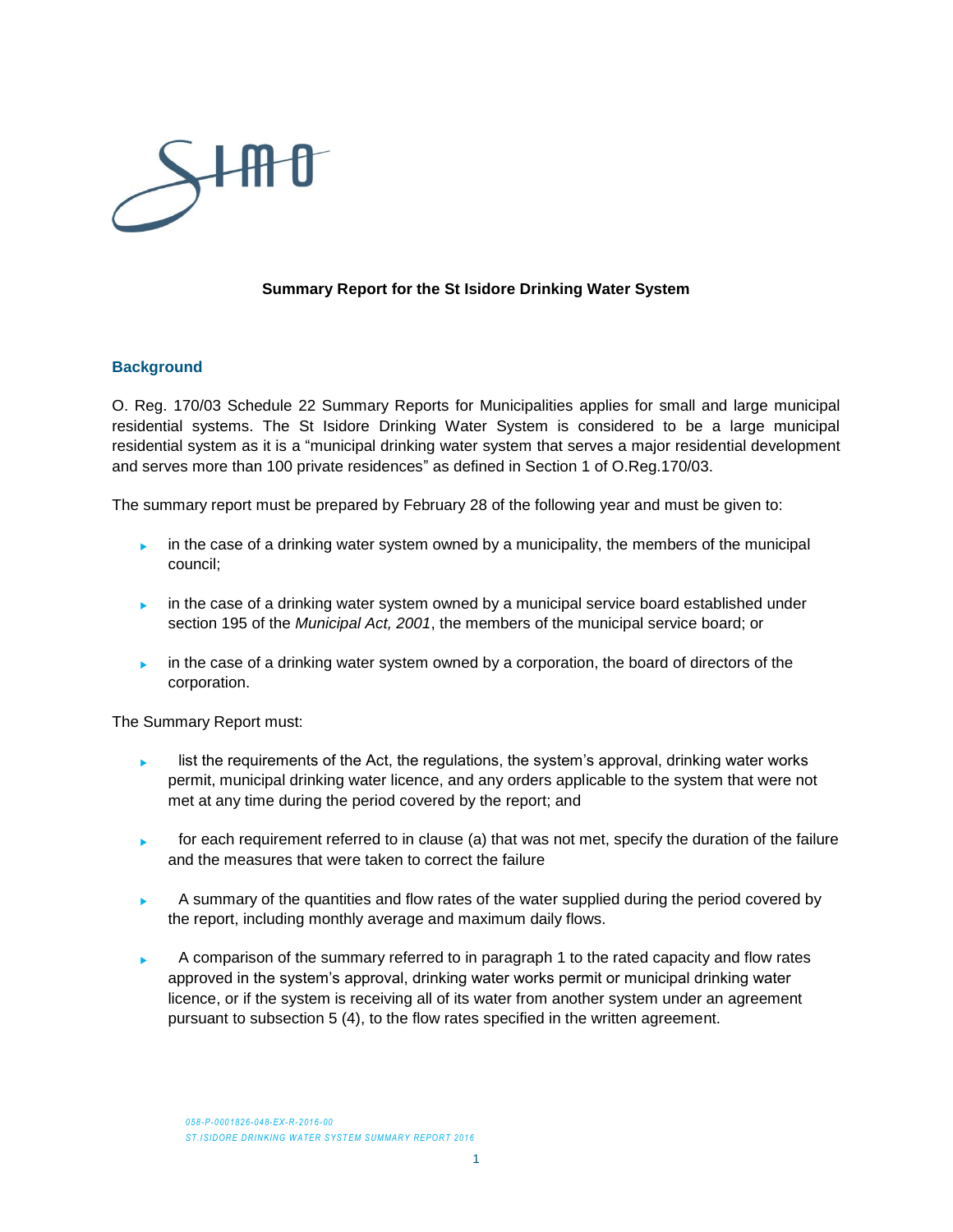

#### **Summary Report for the St Isidore Drinking Water System**

#### **Background**

O. Reg. 170/03 Schedule 22 Summary Reports for Municipalities applies for small and large municipal residential systems. The St Isidore Drinking Water System is considered to be a large municipal residential system as it is a "municipal drinking water system that serves a major residential development and serves more than 100 private residences" as defined in Section 1 of O.Reg.170/03.

The summary report must be prepared by February 28 of the following year and must be given to:

- in the case of a drinking water system owned by a municipality, the members of the municipal council;
- in the case of a drinking water system owned by a municipal service board established under section 195 of the *Municipal Act, 2001*, the members of the municipal service board; or
- in the case of a drinking water system owned by a corporation, the board of directors of the corporation.

The Summary Report must:

- $\blacktriangleright$  list the requirements of the Act, the regulations, the system's approval, drinking water works permit, municipal drinking water licence, and any orders applicable to the system that were not met at any time during the period covered by the report; and
- for each requirement referred to in clause (a) that was not met, specify the duration of the failure and the measures that were taken to correct the failure
- A summary of the quantities and flow rates of the water supplied during the period covered by the report, including monthly average and maximum daily flows.
- A comparison of the summary referred to in paragraph 1 to the rated capacity and flow rates approved in the system's approval, drinking water works permit or municipal drinking water licence, or if the system is receiving all of its water from another system under an agreement pursuant to subsection 5 (4), to the flow rates specified in the written agreement.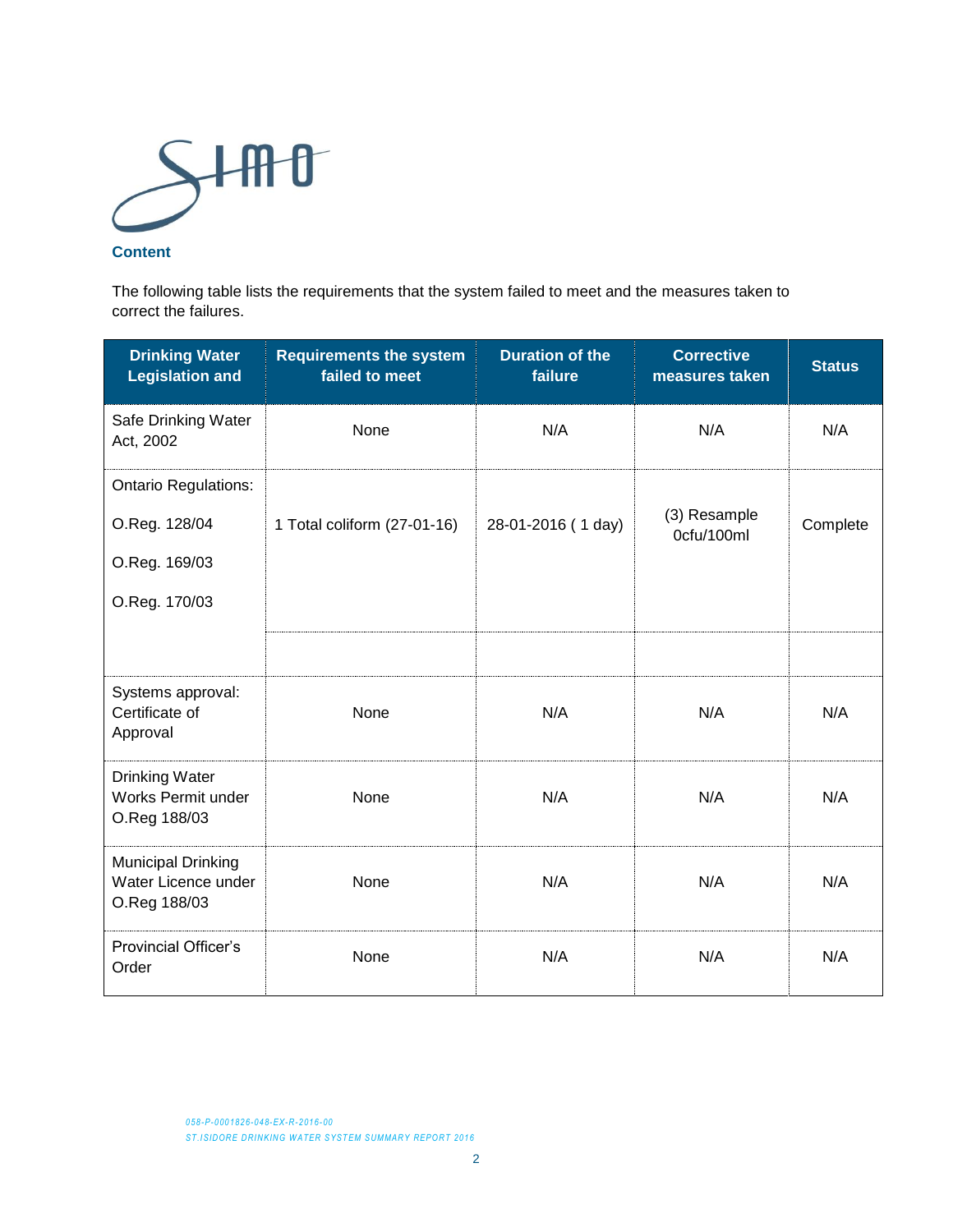

#### **Content**

The following table lists the requirements that the system failed to meet and the measures taken to correct the failures.

| <b>Drinking Water</b><br><b>Legislation and</b>                  | <b>Requirements the system</b><br>failed to meet | <b>Duration of the</b><br>failure | <b>Corrective</b><br>measures taken | <b>Status</b> |
|------------------------------------------------------------------|--------------------------------------------------|-----------------------------------|-------------------------------------|---------------|
| Safe Drinking Water<br>Act, 2002                                 | None                                             | N/A                               | N/A                                 | N/A           |
| <b>Ontario Regulations:</b><br>O.Reg. 128/04<br>O.Reg. 169/03    | 1 Total coliform (27-01-16)                      | 28-01-2016 (1 day)                | (3) Resample<br>0cfu/100ml          | Complete      |
| O.Reg. 170/03                                                    |                                                  |                                   |                                     |               |
| Systems approval:<br>Certificate of<br>Approval                  | None                                             | N/A                               | N/A                                 | N/A           |
| <b>Drinking Water</b><br>Works Permit under<br>O.Reg 188/03      | None                                             | N/A                               | N/A                                 | N/A           |
| <b>Municipal Drinking</b><br>Water Licence under<br>O.Reg 188/03 | None                                             | N/A                               | N/A                                 | N/A           |
| <b>Provincial Officer's</b><br>Order                             | None                                             | N/A                               | N/A                                 | N/A           |

*058-P-0001826-048-EX-R-2016-00* **ST.ISIDORE DRINKING WATER SYSTEM SUMMARY REPORT 2016**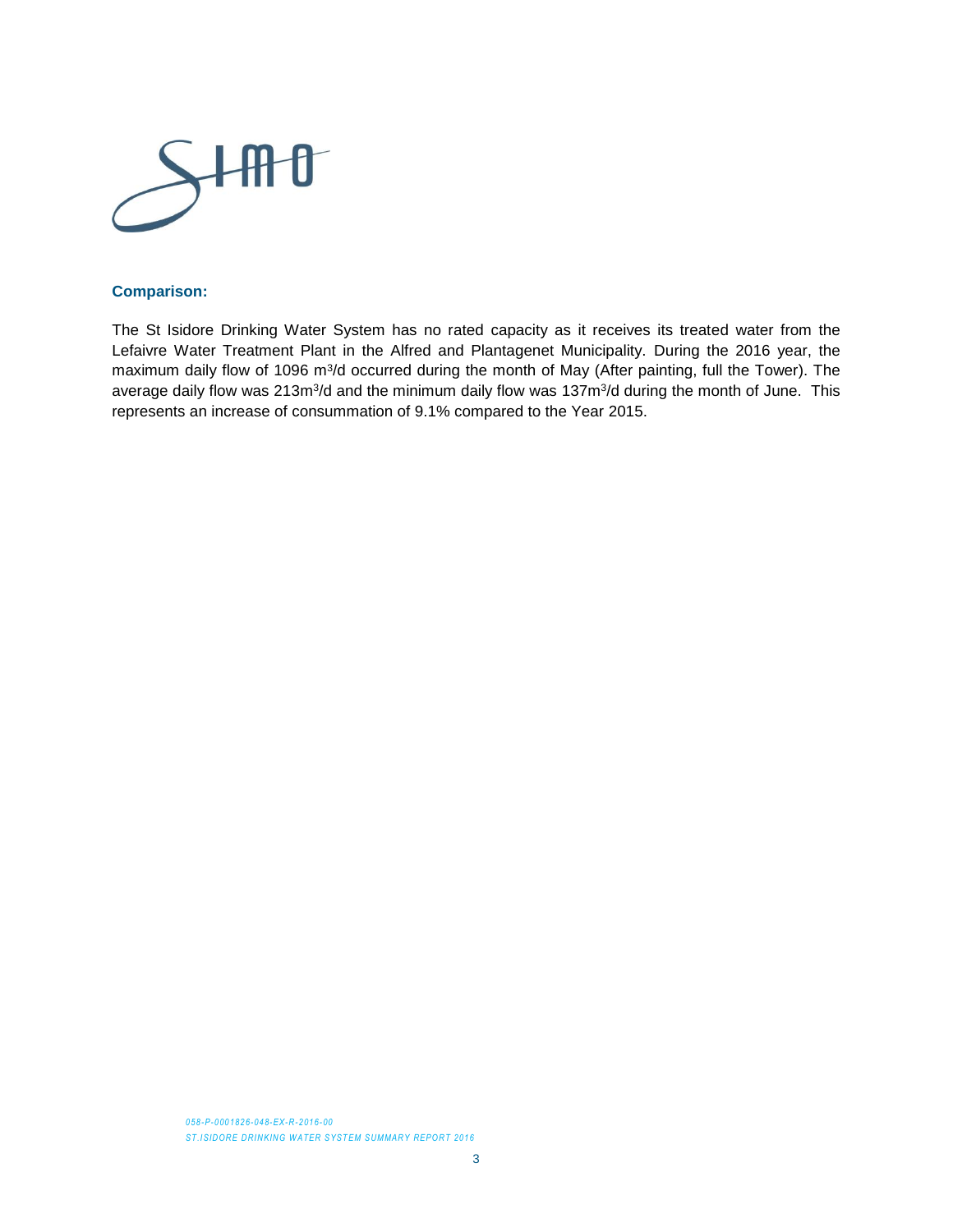

#### **Comparison:**

The St Isidore Drinking Water System has no rated capacity as it receives its treated water from the Lefaivre Water Treatment Plant in the Alfred and Plantagenet Municipality. During the 2016 year, the maximum daily flow of 1096 m<sup>3</sup>/d occurred during the month of May (After painting, full the Tower). The average daily flow was 213m<sup>3</sup>/d and the minimum daily flow was 137m<sup>3</sup>/d during the month of June. This represents an increase of consummation of 9.1% compared to the Year 2015.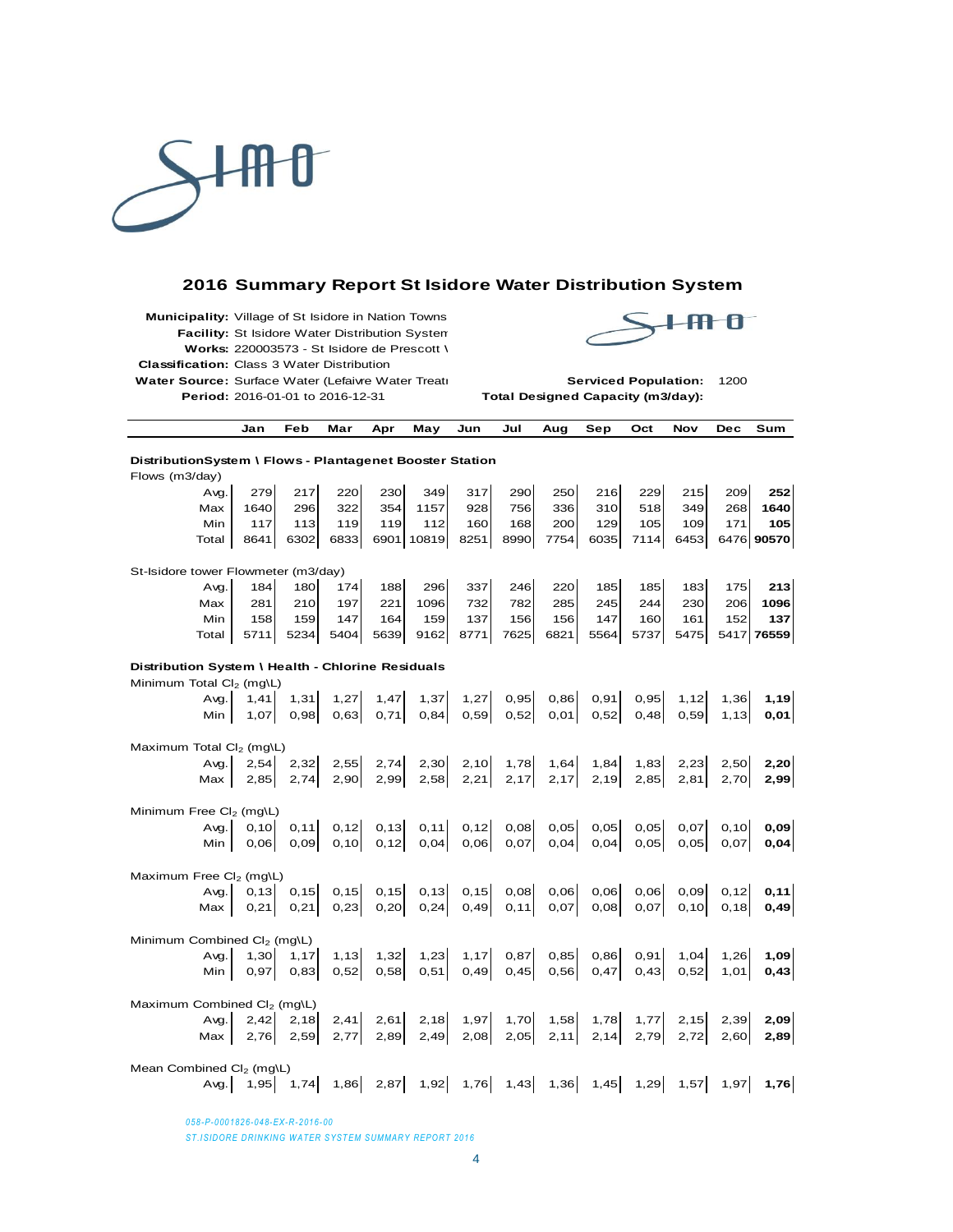

#### **2016 Summary Report St Isidore Water Distribution System**

**Municipality:** Village of St Isidore in Nation Towns **Facility:** St Isidore Water Distribution System **Works:** 220003573 - St Isidore de Prescott \ **Classification:** Class 3 Water Distribution Water Source: Surface Water (Lefaivre Water Treati **Serviced Population:** 1200) **Period:** 2016-01-01 to 2016-12-31 **Total Designed Capacity (m3/day):**



|                                                   | Jan                                                      | Feb   | Mar                                                                          | Apr   | May        | Jun   | Jul   | Aug  | Sep  | Oct  | Nov   | <b>Dec</b> | Sum        |
|---------------------------------------------------|----------------------------------------------------------|-------|------------------------------------------------------------------------------|-------|------------|-------|-------|------|------|------|-------|------------|------------|
|                                                   | DistributionSystem \ Flows - Plantagenet Booster Station |       |                                                                              |       |            |       |       |      |      |      |       |            |            |
| Flows (m3/day)                                    |                                                          |       |                                                                              |       |            |       |       |      |      |      |       |            |            |
| Avg.                                              | 279                                                      | 217   | 220                                                                          | 230   | 349        | 317   | 290   | 250  | 216  | 229  | 215   | 209        | 252        |
| Max                                               | 1640                                                     | 296   | 322                                                                          | 354   | 1157       | 928   | 756   | 336  | 310  | 518  | 349   | 268        | 1640       |
| Min                                               | 117                                                      | 113   | 119                                                                          | 119   | 112        | 160   | 168   | 200  | 129  | 105  | 109   | 171        | 105        |
| Total                                             | 8641                                                     | 6302  | 6833                                                                         |       | 6901 10819 | 8251  | 8990  | 7754 | 6035 | 7114 | 6453  |            | 6476 90570 |
| St-Isidore tower Flowmeter (m3/day)               |                                                          |       |                                                                              |       |            |       |       |      |      |      |       |            |            |
| Avg.                                              | 184                                                      | 180   | 174                                                                          | 188   | 296        | 337   | 246   | 220  | 185  | 185  | 183   | 175        | 213        |
| Max                                               | 281                                                      | 210   | 197                                                                          | 221   | 1096       | 732   | 782   | 285  | 245  | 244  | 230   | 206        | 1096       |
| Min                                               | 158                                                      | 159   | 147                                                                          | 164   | 159        | 137   | 156   | 156  | 147  | 160  | 161   | 152        | 137        |
| Total                                             | 5711                                                     | 5234  | 5404                                                                         | 5639  | 9162       | 8771  | 7625  | 6821 | 5564 | 5737 | 5475  |            | 5417 76559 |
| Distribution System \ Health - Chlorine Residuals |                                                          |       |                                                                              |       |            |       |       |      |      |      |       |            |            |
| Minimum Total Cl <sub>2</sub> (mg\L)              |                                                          |       |                                                                              |       |            |       |       |      |      |      |       |            |            |
| Avg.                                              | 1.41                                                     | 1,31  | 1,27                                                                         | 1,47  | 1,37       | 1,27  | 0,95  | 0,86 | 0,91 | 0,95 | 1,12  | 1,36       | 1,19       |
| Min                                               | 1.07                                                     | 0.98  | 0.63                                                                         | 0,71  | 0,84       | 0,59  | 0,52  | 0,01 | 0,52 | 0.48 | 0,59  | 1,13       | 0,01       |
| Maximum Total Cl <sub>2</sub> (mg\L)              |                                                          |       |                                                                              |       |            |       |       |      |      |      |       |            |            |
| Avg.                                              | 2,54                                                     | 2,32  | 2,55                                                                         | 2,74  | 2,30       | 2,10  | 1,78  | 1,64 | 1,84 | 1,83 | 2,23  | 2,50       | 2,20       |
| Max                                               | 2,85                                                     | 2,74  | 2,90                                                                         | 2,99  | 2,58       | 2,21  | 2,17  | 2,17 | 2,19 | 2,85 | 2,81  | 2,70       | 2,99       |
| Minimum Free Cl <sub>2</sub> (mg\L)               |                                                          |       |                                                                              |       |            |       |       |      |      |      |       |            |            |
| Avg.                                              | 0, 10                                                    | 0, 11 | 0, 12                                                                        | 0, 13 | 0, 11      | 0,12  | 0,08  | 0,05 | 0,05 | 0,05 | 0,07  | 0, 10      | 0,09       |
| Min                                               | 0.06                                                     | 0.09  | 0, 10                                                                        | 0, 12 | 0,04       | 0,06  | 0,07  | 0,04 | 0,04 | 0,05 | 0,05  | 0.07       | 0,04       |
| Maximum Free Cl <sub>2</sub> (mg\L)               |                                                          |       |                                                                              |       |            |       |       |      |      |      |       |            |            |
| Avg.                                              | 0, 13                                                    | 0, 15 | 0, 15                                                                        | 0, 15 | 0, 13      | 0, 15 | 0,08  | 0,06 | 0,06 | 0,06 | 0,09  | 0,12       | 0, 11      |
| Max                                               | 0,21                                                     | 0,21  | 0,23                                                                         | 0,20  | 0,24       | 0,49  | 0, 11 | 0,07 | 0,08 | 0,07 | 0, 10 | 0, 18      | 0,49       |
| Minimum Combined Cl <sub>2</sub> (mg\L)           |                                                          |       |                                                                              |       |            |       |       |      |      |      |       |            |            |
| Avq.                                              | 1,30                                                     | 1,17  | 1,13                                                                         | 1,32  | 1,23       | 1,17  | 0,87  | 0,85 | 0,86 | 0,91 | 1,04  | 1,26       | 1,09       |
| Min                                               | 0.97                                                     | 0.83  | 0,52                                                                         | 0,58  | 0,51       | 0,49  | 0,45  | 0,56 | 0,47 | 0.43 | 0,52  | 1.01       | 0,43       |
| Maximum Combined Cl <sub>2</sub> (mq\L)           |                                                          |       |                                                                              |       |            |       |       |      |      |      |       |            |            |
| Avg.                                              | 2,42                                                     | 2,18  | 2,41                                                                         | 2,61  | 2,18       | 1,97  | 1,70  | 1,58 | 1,78 | 1,77 | 2,15  | 2,39       | 2,09       |
| Max                                               | 2,76                                                     | 2,59  | 2,77                                                                         | 2,89  | 2,49       | 2,08  | 2,05  | 2,11 | 2,14 | 2,79 | 2,72  | 2,60       | 2,89       |
| Mean Combined Cl <sub>2</sub> (mg\L)              |                                                          |       |                                                                              |       |            |       |       |      |      |      |       |            |            |
| Avg.                                              | 1,95                                                     |       | $1,74$ $1,86$ $2,87$ $1,92$ $1,76$ $1,43$ $1,36$ $1,45$ $1,29$ $1,57$ $1,97$ |       |            |       |       |      |      |      |       |            | 1,76       |

*058-P-0001826-048-EX-R-2016-00* **ST.ISIDORE DRINKING WATER SYSTEM SUMMARY REPORT 2016**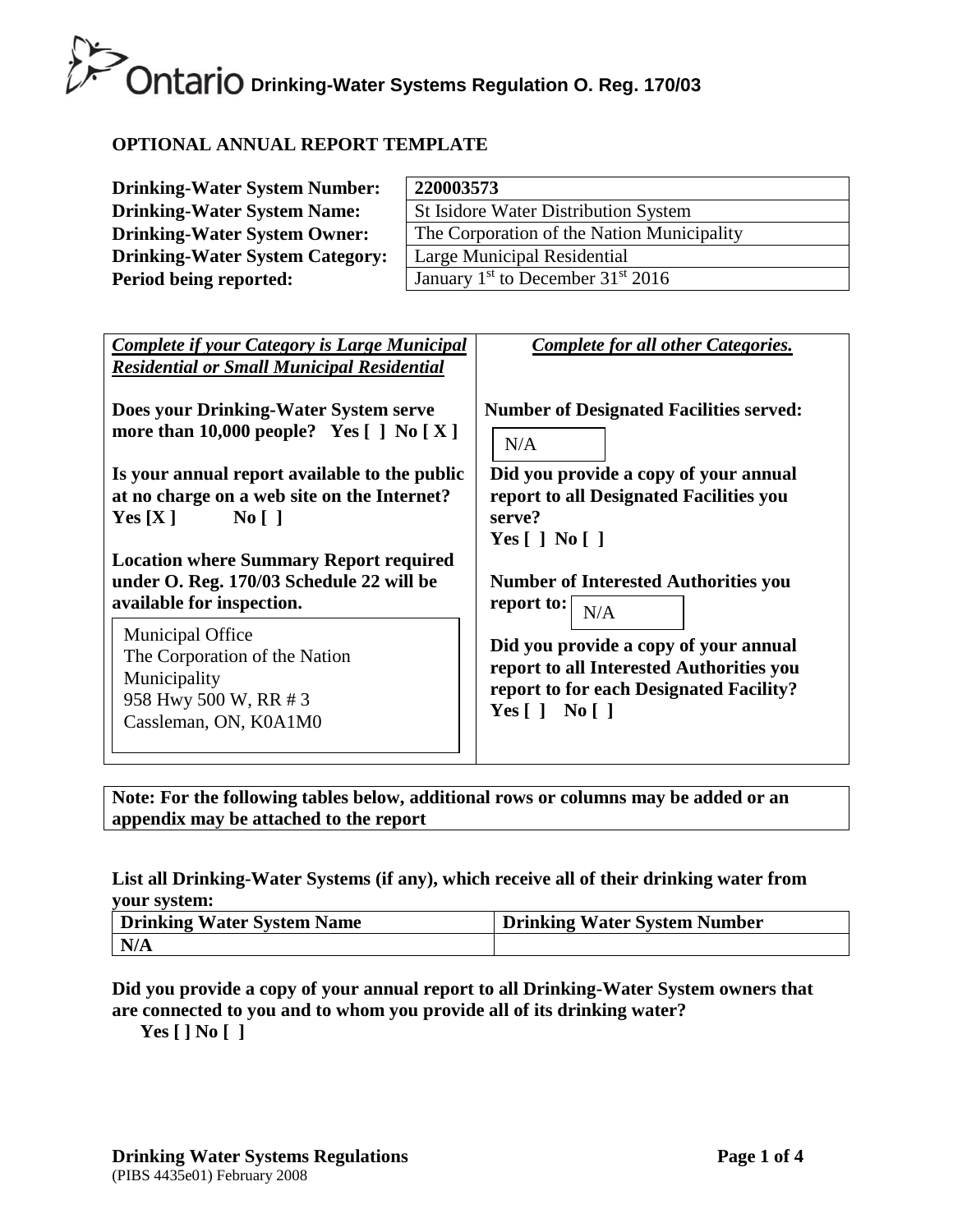## **Ontario** Drinking-Water Systems Regulation O. Reg. 170/03

#### **OPTIONAL ANNUAL REPORT TEMPLATE**

| <b>Drinking-Water System Number:</b>   | 220003573                                       |
|----------------------------------------|-------------------------------------------------|
| <b>Drinking-Water System Name:</b>     | <b>St Isidore Water Distribution System</b>     |
| <b>Drinking-Water System Owner:</b>    | The Corporation of the Nation Municipality      |
| <b>Drinking-Water System Category:</b> | Large Municipal Residential                     |
| Period being reported:                 | January $1st$ to December 31 <sup>st</sup> 2016 |

| <b>Complete if your Category is Large Municipal</b><br><b>Residential or Small Municipal Residential</b>                   | <b>Complete for all other Categories.</b>                                                                                                                  |
|----------------------------------------------------------------------------------------------------------------------------|------------------------------------------------------------------------------------------------------------------------------------------------------------|
| Does your Drinking-Water System serve                                                                                      | <b>Number of Designated Facilities served:</b>                                                                                                             |
| more than 10,000 people? Yes $\lceil \cdot \rceil$ No $\lceil X \rceil$                                                    | N/A                                                                                                                                                        |
| Is your annual report available to the public                                                                              | Did you provide a copy of your annual                                                                                                                      |
| at no charge on a web site on the Internet?                                                                                | report to all Designated Facilities you                                                                                                                    |
| $\overline{N_0}$                                                                                                           | serve?                                                                                                                                                     |
| Yes[X]                                                                                                                     | Yes $\lceil$   No $\lceil$                                                                                                                                 |
| <b>Location where Summary Report required</b>                                                                              | <b>Number of Interested Authorities you</b>                                                                                                                |
| under O. Reg. 170/03 Schedule 22 will be                                                                                   | report to:                                                                                                                                                 |
| available for inspection.                                                                                                  | N/A                                                                                                                                                        |
| <b>Municipal Office</b><br>The Corporation of the Nation<br>Municipality<br>958 Hwy 500 W, RR # 3<br>Cassleman, ON, K0A1M0 | Did you provide a copy of your annual<br>report to all Interested Authorities you<br>report to for each Designated Facility?<br>Yes $\lceil$   No $\lceil$ |

**Note: For the following tables below, additional rows or columns may be added or an appendix may be attached to the report**

#### **List all Drinking-Water Systems (if any), which receive all of their drinking water from your system:**

| Drinking Water System Name | <b>Drinking Water System Number</b> |
|----------------------------|-------------------------------------|
| N/A                        |                                     |

#### **Did you provide a copy of your annual report to all Drinking-Water System owners that are connected to you and to whom you provide all of its drinking water?**

**Yes [ ] No [ ]**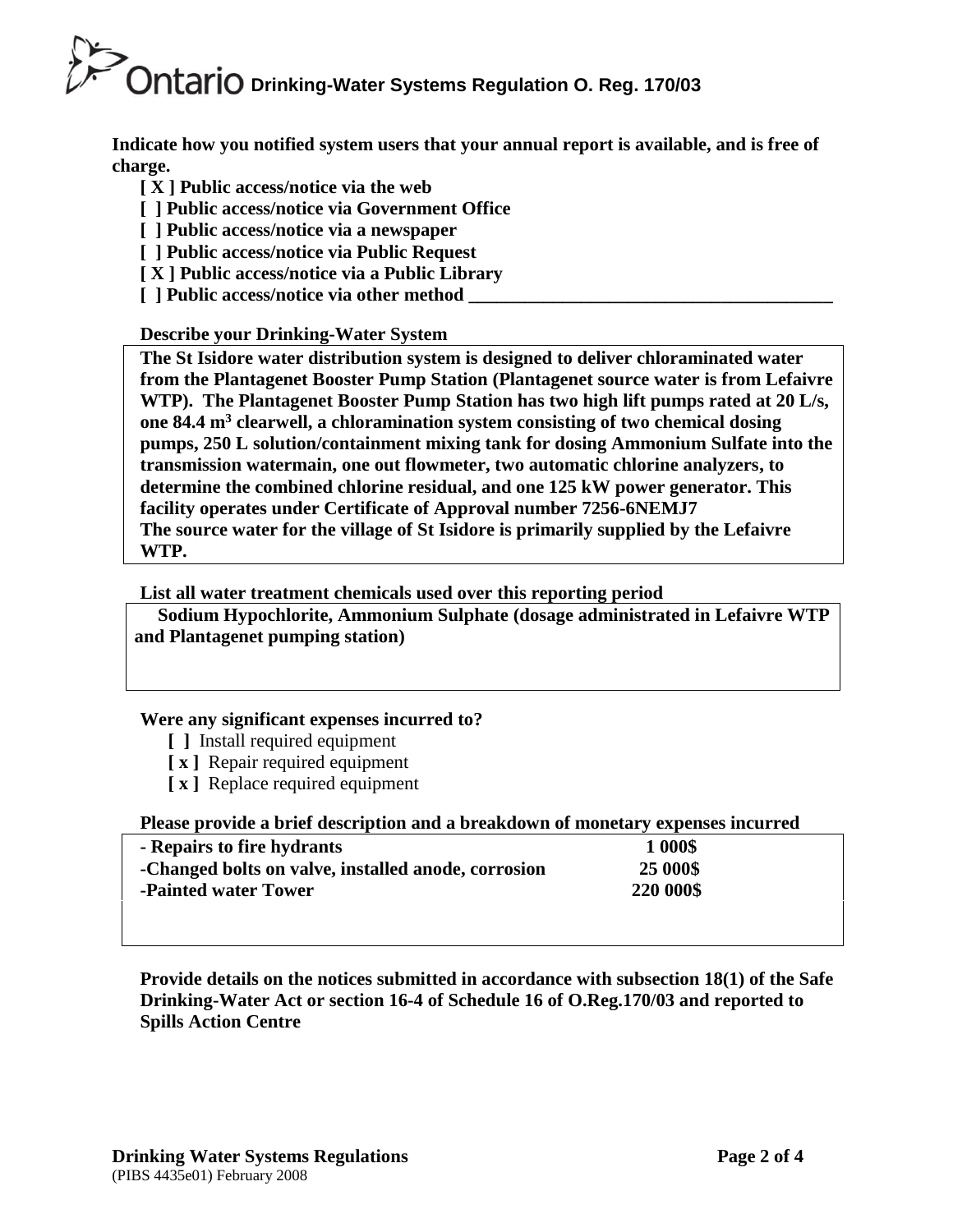## **Drinking-Water Systems Regulation O. Reg. 170/03**

**Indicate how you notified system users that your annual report is available, and is free of charge.** 

- **[ X ] Public access/notice via the web**
- **[ ] Public access/notice via Government Office**
- **[ ] Public access/notice via a newspaper**
- **[ ] Public access/notice via Public Request**
- **[ X ] Public access/notice via a Public Library**
- **[** ] Public access/notice via other method

#### **Describe your Drinking-Water System**

**The St Isidore water distribution system is designed to deliver chloraminated water from the Plantagenet Booster Pump Station (Plantagenet source water is from Lefaivre WTP). The Plantagenet Booster Pump Station has two high lift pumps rated at 20 L/s, one 84.4 m<sup>3</sup> clearwell, a chloramination system consisting of two chemical dosing pumps, 250 L solution/containment mixing tank for dosing Ammonium Sulfate into the transmission watermain, one out flowmeter, two automatic chlorine analyzers, to determine the combined chlorine residual, and one 125 kW power generator. This facility operates under Certificate of Approval number 7256-6NEMJ7 The source water for the village of St Isidore is primarily supplied by the Lefaivre WTP.**

#### **List all water treatment chemicals used over this reporting period**

 **Sodium Hypochlorite, Ammonium Sulphate (dosage administrated in Lefaivre WTP and Plantagenet pumping station)**

#### **Were any significant expenses incurred to?**

- **[ ]** Install required equipment
- **[ x ]** Repair required equipment
- **[ x ]** Replace required equipment

#### **Please provide a brief description and a breakdown of monetary expenses incurred**

| - Repairs to fire hydrants                          | 1 000\$   |  |
|-----------------------------------------------------|-----------|--|
| -Changed bolts on valve, installed anode, corrosion | 25 000\$  |  |
| -Painted water Tower                                | 220 000\$ |  |
|                                                     |           |  |

**Provide details on the notices submitted in accordance with subsection 18(1) of the Safe Drinking-Water Act or section 16-4 of Schedule 16 of O.Reg.170/03 and reported to Spills Action Centre**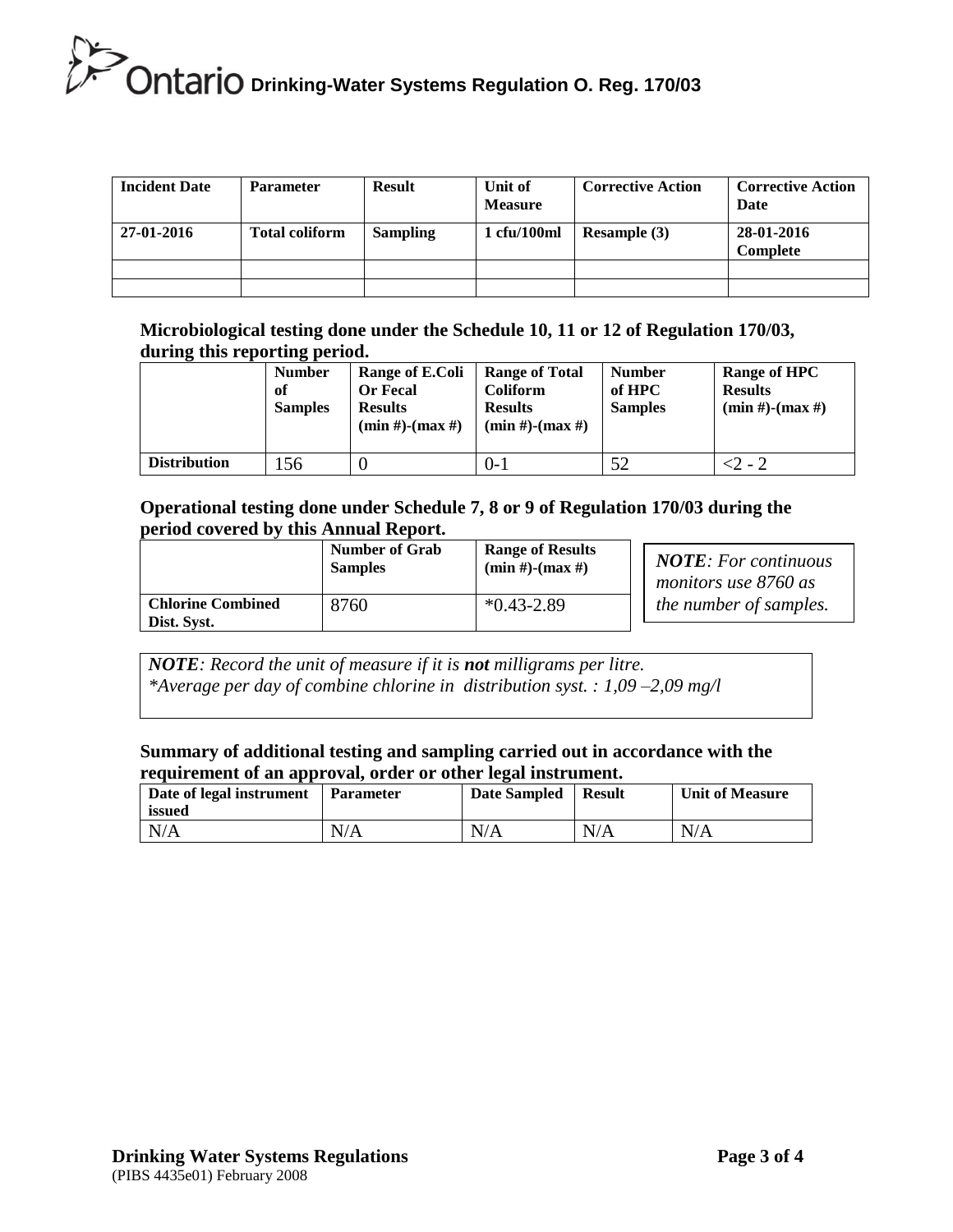### **Drinking-Water Systems Regulation O. Reg. 170/03**

| <b>Incident Date</b> | <b>Parameter</b>      | <b>Result</b>   | Unit of<br><b>Measure</b> | <b>Corrective Action</b> | <b>Corrective Action</b><br>Date |
|----------------------|-----------------------|-----------------|---------------------------|--------------------------|----------------------------------|
| 27-01-2016           | <b>Total coliform</b> | <b>Sampling</b> | 1 cfu/100ml               | <b>Resample</b> (3)      | 28-01-2016<br><b>Complete</b>    |
|                      |                       |                 |                           |                          |                                  |
|                      |                       |                 |                           |                          |                                  |

**Microbiological testing done under the Schedule 10, 11 or 12 of Regulation 170/03, during this reporting period.**

|                     | <b>Number</b><br>оf<br><b>Samples</b> | Range of E.Coli<br><b>Or Fecal</b><br><b>Results</b><br>$(min #)$ - $(max #)$ | <b>Range of Total</b><br><b>Coliform</b><br><b>Results</b><br>$(min #)$ - $(max #)$ | <b>Number</b><br>of HPC<br><b>Samples</b> | Range of HPC<br><b>Results</b><br>$(min #)-(max #)$ |
|---------------------|---------------------------------------|-------------------------------------------------------------------------------|-------------------------------------------------------------------------------------|-------------------------------------------|-----------------------------------------------------|
| <b>Distribution</b> | 56                                    |                                                                               | $0 - 1$                                                                             | 52                                        | -2 - 2                                              |

#### **Operational testing done under Schedule 7, 8 or 9 of Regulation 170/03 during the period covered by this Annual Report.**

|                                         | <b>Number of Grab</b><br><b>Samples</b> | <b>Range of Results</b><br>$(min #)$ - $(max #)$ |  |
|-----------------------------------------|-----------------------------------------|--------------------------------------------------|--|
| <b>Chlorine Combined</b><br>Dist. Syst. | 8760                                    | $*0.43 - 2.89$                                   |  |

| <b>NOTE</b> : For continuous |
|------------------------------|
| monitors use 8760 as         |
| the number of samples.       |

*NOTE: Record the unit of measure if it is not milligrams per litre. \*Average per day of combine chlorine in distribution syst. : 1,09 –2,09 mg/l*

#### **Summary of additional testing and sampling carried out in accordance with the requirement of an approval, order or other legal instrument.**

| Date of legal instrument<br>issued | <b>Parameter</b> | <b>Date Sampled</b> | <b>Result</b> | <b>Unit of Measure</b> |
|------------------------------------|------------------|---------------------|---------------|------------------------|
| N/A                                | N/A              | N/A                 | N/A           | N/A                    |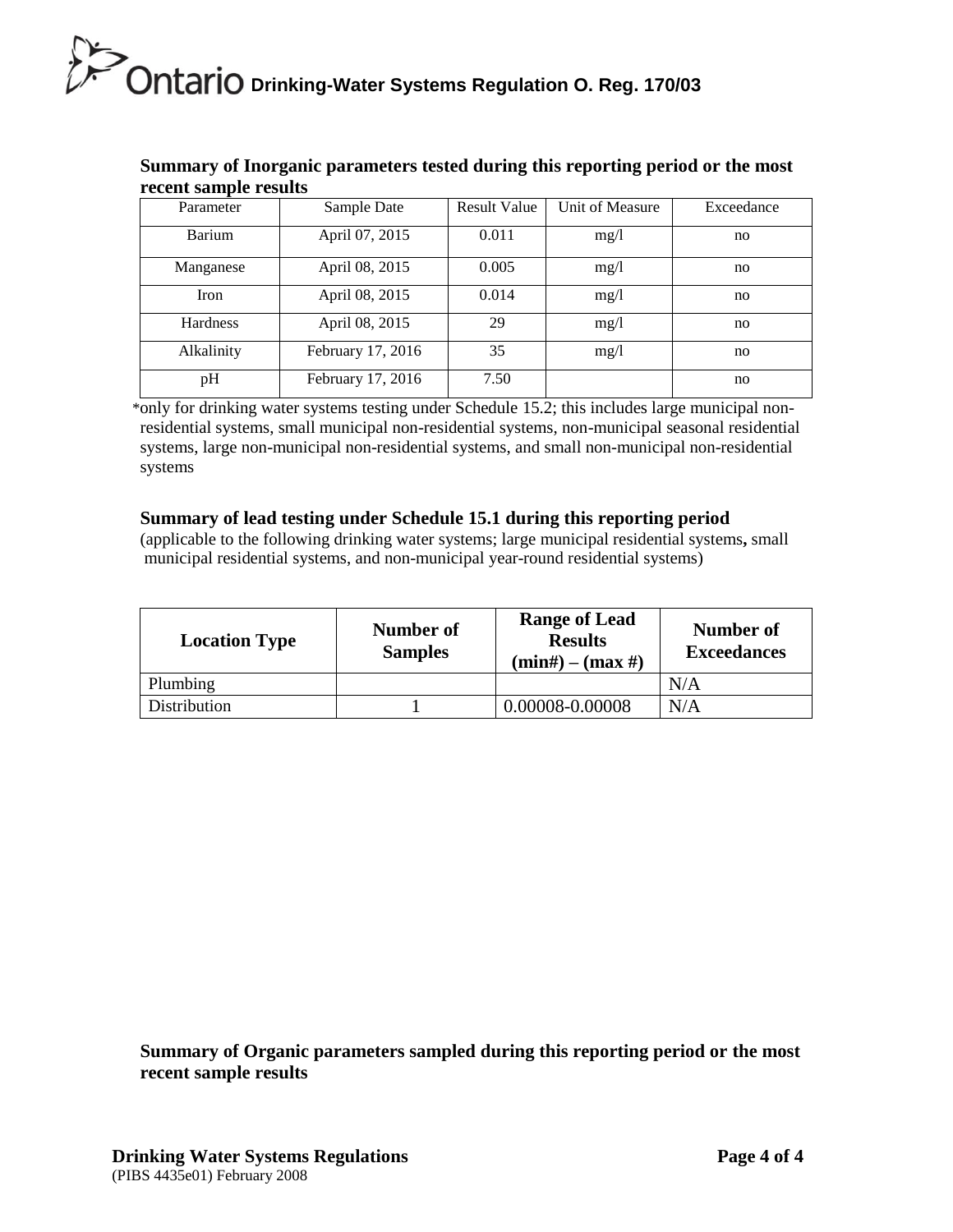## **Ontario Drinking-Water Systems Regulation O. Reg. 170/03**

| recent sample results |                   |                     |                 |            |
|-----------------------|-------------------|---------------------|-----------------|------------|
| Parameter             | Sample Date       | <b>Result Value</b> | Unit of Measure | Exceedance |
| Barium                | April 07, 2015    | 0.011               | mg/1            | no.        |
| Manganese             | April 08, 2015    | 0.005               | mg/1            | no         |
| Iron                  | April 08, 2015    | 0.014               | mg/1            | no         |
| <b>Hardness</b>       | April 08, 2015    | 29                  | mg/1            | no         |
| Alkalinity            | February 17, 2016 | 35                  | mg/1            | no         |
| pH                    | February 17, 2016 | 7.50                |                 | no         |

#### **Summary of Inorganic parameters tested during this reporting period or the most recent sample results**

 \*only for drinking water systems testing under Schedule 15.2; this includes large municipal nonresidential systems, small municipal non-residential systems, non-municipal seasonal residential systems, large non-municipal non-residential systems, and small non-municipal non-residential systems

#### **Summary of lead testing under Schedule 15.1 during this reporting period**

(applicable to the following drinking water systems; large municipal residential systems**,** small municipal residential systems, and non-municipal year-round residential systems)

| <b>Location Type</b> | Number of<br><b>Samples</b> | <b>Range of Lead</b><br><b>Results</b><br>$(min#) - (max#)$ | Number of<br><b>Exceedances</b> |
|----------------------|-----------------------------|-------------------------------------------------------------|---------------------------------|
| Plumbing             |                             |                                                             | N/A                             |
| Distribution         |                             | 0.00008-0.00008                                             | N/A                             |

**Summary of Organic parameters sampled during this reporting period or the most recent sample results**